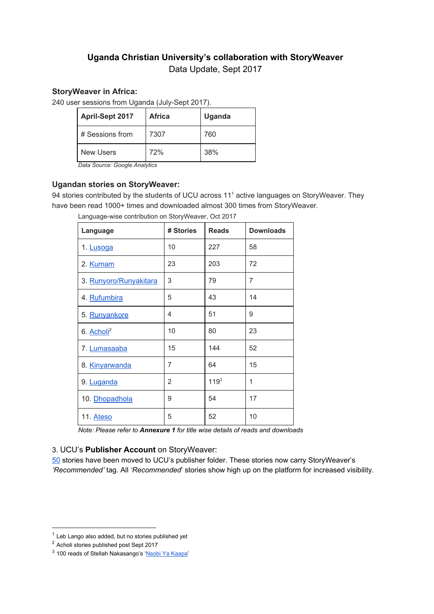# **Uganda Christian University's collaboration with StoryWeaver** Data Update, Sept 2017

## **StoryWeaver in Africa:**

240 user sessions from Uganda (July-Sept 2017).

| <b>April-Sept 2017</b> | <b>Africa</b> | Uganda |
|------------------------|---------------|--------|
| # Sessions from        | 7307          | 760    |
| New Users              | 72%           | 38%    |

*Data Source: Google Analytics*

# **Ugandan stories on StoryWeaver:**

94 stories contributed by the students of UCU across 11<sup>1</sup> active languages on StoryWeaver. They have been read 1000+ times and downloaded almost 300 times from StoryWeaver.

| Language               | # Stories      | <b>Reads</b> | <b>Downloads</b> |
|------------------------|----------------|--------------|------------------|
| 1. Lusoga              | 10             | 227          | 58               |
| 2. Kumam               | 23             | 203          | 72               |
| 3. Runyoro/Runyakitara | 3              | 79           | 7                |
| 4. Rufumbira           | 5              | 43           | 14               |
| 5. Runyankore          | 4              | 51           | 9                |
| 6. Acholi <sup>2</sup> | 10             | 80           | 23               |
| 7. Lumasaaba           | 15             | 144          | 52               |
| 8. Kinyarwanda         | 7              | 64           | 15               |
| 9. Luganda             | $\overline{2}$ | $119^{3}$    | 1                |
| 10. Dhopadhola         | 9              | 54           | 17               |
| 11. Ateso              | 5              | 52           | 10               |

Language-wise contribution on StoryWeaver, Oct 2017

*Note: Please refer to Annexure 1 for title wise details of reads and downloads*

# 3. UCU's **Publisher Account** on StoryWeaver:

[50](https://storyweaver.org.in/search?search%5Bquery%5D=&search%5Bcategories%5D%5B%5D=all&search%5Blanguages%5D%5B%5D=all&search%5Btarget_languages%5D%5B%5D=&search%5Borganizations%5D%5B%5D=Uganda+Christian+University&search%5Bchild_created%5D=&search%5Breading_levels%5D%5B%5D=all&search%5Bderivation_type%5D%5B%5D=all&search%5Bsort%5D=&search%5Bauthors%5D=&page=1&per_page=9) stories have been moved to UCU's publisher folder. These stories now carry StoryWeaver's *'Recommended'* tag. All *'Recommended*' stories show high up on the platform for increased visibility.

 $1$  Leb Lango also added, but no stories published yet

<sup>2</sup> Acholi stories published post Sept 2017

<sup>&</sup>lt;sup>3</sup> 100 reads of Stellah Nakasango's 'Nsobi Ya [Kaapa'](https://storyweaver.org.in/stories/14482-nsobi-ya-kaapa)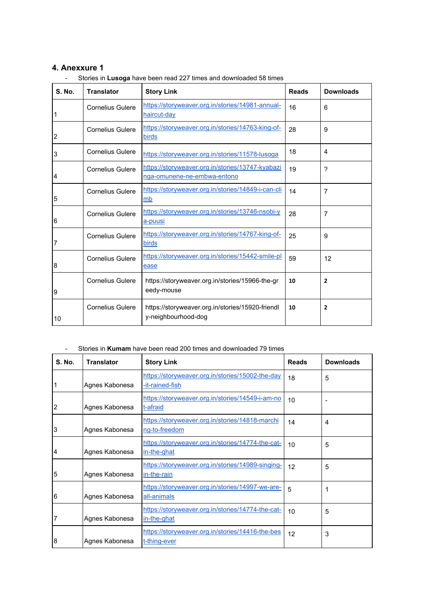### **4. Anexxure 1**

| <b>S. No.</b>  | <b>Translator</b>       | <b>Story Link</b>                                                               | <b>Reads</b> | <b>Downloads</b> |
|----------------|-------------------------|---------------------------------------------------------------------------------|--------------|------------------|
| 1              | <b>Cornelius Gulere</b> | https://storyweaver.org.in/stories/14981-annual-<br>haircut-day                 | 16           | 6                |
| $\overline{2}$ | <b>Cornelius Gulere</b> | https://storyweaver.org.in/stories/14763-king-of-<br>birds                      | 28           | 9                |
| 3              | <b>Cornelius Gulere</b> | https://storyweaver.org.in/stories/11578-lusoga                                 | 18           | 4                |
| 4              | Cornelius Gulere        | https://storyweaver.org.in/stories/13747-kyabazi<br>nga-omunene-ne-embwa-entono | 19           | 7                |
| 5              | <b>Cornelius Gulere</b> | https://storyweaver.org.in/stories/14849-i-can-cli<br>mb                        | 14           | 7                |
| 6              | <b>Cornelius Gulere</b> | https://storyweaver.org.in/stories/13746-nsobi-y<br>a-puusi                     | 28           | 7                |
| 7              | <b>Cornelius Gulere</b> | https://storyweaver.org.in/stories/14767-king-of-<br>birds                      | 25           | 9                |
| 8              | <b>Cornelius Gulere</b> | https://storyweaver.org.in/stories/15442-smile-pl<br>ease                       | 59           | 12               |
| 9              | <b>Cornelius Gulere</b> | https://storyweaver.org.in/stories/15966-the-gr<br>eedy-mouse                   | 10           | $\overline{2}$   |
| 10             | Cornelius Gulere        | https://storyweaver.org.in/stories/15920-friendl<br>y-neighbourhood-dog         | 10           | $\overline{2}$   |

- Stories in **Lusoga** have been read 227 times and downloaded 58 times

#### - Stories in **Kumam** have been read 200 times and downloaded 79 times

| <b>S. No.</b>   | <b>Translator</b> | <b>Story Link</b>                                                   | <b>Reads</b> | <b>Downloads</b> |
|-----------------|-------------------|---------------------------------------------------------------------|--------------|------------------|
| 1               | Agnes Kabonesa    | https://storyweaver.org.in/stories/15002-the-day<br>-it-rained-fish | 18           | 5                |
| $\overline{2}$  | Agnes Kabonesa    | https://storyweaver.org.in/stories/14549-i-am-no<br>t-afraid        | 10           |                  |
| 3               | Agnes Kabonesa    | https://storyweaver.org.in/stories/14818-marchi<br>ng-to-freedom    | 14           | 4                |
| 4               | Agnes Kabonesa    | https://storyweaver.org.in/stories/14774-the-cat-<br>in-the-ghat    | 10           | 5                |
| $5\phantom{.0}$ | Agnes Kabonesa    | https://storyweaver.org.in/stories/14989-singing-<br>in-the-rain    | 12           | 5                |
| 6               | Agnes Kabonesa    | https://storyweaver.org.in/stories/14997-we-are-<br>all-animals     | 5            | 1                |
| $\overline{7}$  | Agnes Kabonesa    | https://storyweaver.org.in/stories/14774-the-cat-<br>in-the-ghat    | 10           | 5                |
| 8               | Agnes Kabonesa    | https://storyweaver.org.in/stories/14416-the-bes<br>t-thing-ever    | 12           | 3                |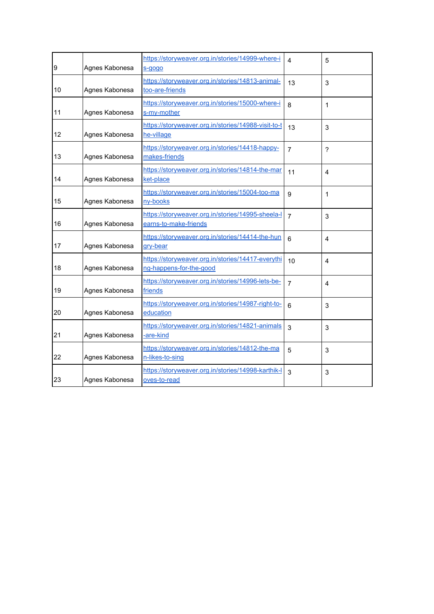| 9  | Agnes Kabonesa | https://storyweaver.org.in/stories/14999-where-i<br>s-gogo                   | 4              | 5              |
|----|----------------|------------------------------------------------------------------------------|----------------|----------------|
| 10 | Agnes Kabonesa | https://storyweaver.org.in/stories/14813-animal-<br>too-are-friends          | 13             | $\mathbf{3}$   |
| 11 | Agnes Kabonesa | https://storyweaver.org.in/stories/15000-where-i<br>s-my-mother              | 8              | 1              |
| 12 | Agnes Kabonesa | https://storyweaver.org.in/stories/14988-visit-to-t<br>he-village            | 13             | $\mathbf{3}$   |
| 13 | Agnes Kabonesa | https://storyweaver.org.in/stories/14418-happy-<br>makes-friends             | $\overline{7}$ | ?              |
| 14 | Agnes Kabonesa | https://storyweaver.org.in/stories/14814-the-mar<br>ket-place                | 11             | $\overline{4}$ |
| 15 | Agnes Kabonesa | https://storyweaver.org.in/stories/15004-too-ma<br>ny-books                  | 9              | 1              |
| 16 | Agnes Kabonesa | https://storyweaver.org.in/stories/14995-sheela-l<br>earns-to-make-friends   | $\overline{7}$ | 3              |
| 17 | Agnes Kabonesa | https://storyweaver.org.in/stories/14414-the-hun<br>gry-bear                 | 6              | 4              |
| 18 | Agnes Kabonesa | https://storyweaver.org.in/stories/14417-everythi<br>ng-happens-for-the-good | 10             | $\overline{4}$ |
| 19 | Agnes Kabonesa | https://storyweaver.org.in/stories/14996-lets-be-<br>friends                 | $\overline{7}$ | $\overline{4}$ |
| 20 | Agnes Kabonesa | https://storyweaver.org.in/stories/14987-right-to-<br>education              | 6              | 3              |
| 21 | Agnes Kabonesa | https://storyweaver.org.in/stories/14821-animals<br>-are-kind                | $\overline{3}$ | 3              |
| 22 | Agnes Kabonesa | https://storyweaver.org.in/stories/14812-the-ma<br>n-likes-to-sing           | 5              | 3              |
| 23 | Agnes Kabonesa | https://storyweaver.org.in/stories/14998-karthik-l<br>oves-to-read           | 3              | 3              |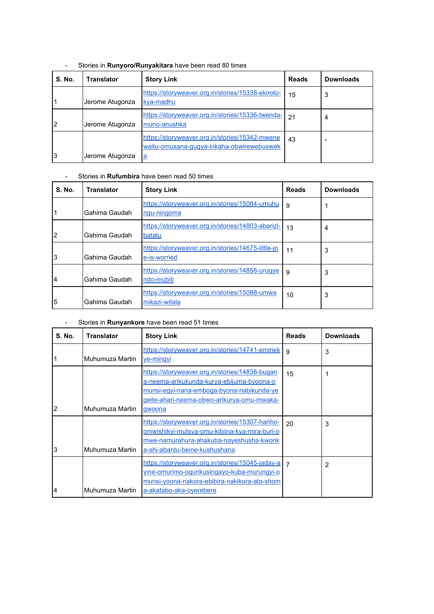| <b>S. No.</b> | <b>Translator</b> | <b>Story Link</b>                                                                           | <b>Reads</b> | <b>Downloads</b> |
|---------------|-------------------|---------------------------------------------------------------------------------------------|--------------|------------------|
|               | Jerome Atugonza   | https://storyweaver.org.in/stories/15338-ekiroto-<br>kya-madhu                              | 15           | 3                |
| l2            | Jerome Atugonza   | https://storyweaver.org.in/stories/15336-twenda-<br>muno-anushka                            | 21           | 4                |
|               |                   | https://storyweaver.org.in/stories/15342-mwene<br>waitu-omusana-gugya-inkaha-obwirewebuswek | 43           |                  |
| l3            | Jerome Atugonza   | $\mathbf{a}$                                                                                |              |                  |

- Stories in **Runyoro/Runyakitara** have been read 80 times

### - Stories in **Rufumbira** have been read 50 times

| <b>S. No.</b>  | <b>Translator</b> | <b>Story Link</b>                                                  | <b>Reads</b> | <b>Downloads</b> |
|----------------|-------------------|--------------------------------------------------------------------|--------------|------------------|
|                | Gahima Gaudah     | https://storyweaver.org.in/stories/15084-umuhu<br>ngu-ningoma      | 9            |                  |
| $\overline{2}$ | Gahima Gaudah     | https://storyweaver.org.in/stories/14803-abarizi-<br>batatu        | 13           | 4                |
| 3              | Gahima Gaudah     | https://storyweaver.org.in/stories/14675-little-jo<br>e-is-worried | 11           | 3                |
| 4              | Gahima Gaudah     | https://storyweaver.org.in/stories/14858-urugye<br>ndo-mubiti      | 9            | 3                |
| 5              | Gahima Gaudah     | https://storyweaver.org.in/stories/15088-umwa<br>mikazi-witala     | 10           | 3                |

## - Stories in **Runyankore** have been read 51 times

| <b>S. No.</b>  | <b>Translator</b> | <b>Story Link</b>                                                                                                                                                                                | <b>Reads</b> | <b>Downloads</b> |
|----------------|-------------------|--------------------------------------------------------------------------------------------------------------------------------------------------------------------------------------------------|--------------|------------------|
|                | Muhumuza Martin   | https://storyweaver.org.in/stories/14741-eminek<br>ye-mingyi                                                                                                                                     | 9            | 3                |
| $\overline{2}$ | Muhumuza Martin   | https://storyweaver.org.in/stories/14838-bugan<br>a-neema-arikukunda-kurya-ebijuma-byoona-o<br>munsi-egyi-nana-emboga-byona-nabikunda-ye<br>geite-ahari-neema-obwo-arikurya-omu-mwaka-<br>gwoona | 15           | 1                |
| 3              | Muhumuza Martin   | https://storyweaver.org.in/stories/15307-hariho-<br>omwishikyi-mutsya-omu-kibiina-kya-mira-buri-o<br>mwe-namurahura-ahakuba-nayeshusha-kwonk<br>a-shi-abantu-beine-kushushana                    | 20           | 3                |
| 4              | Muhumuza Martin   | https://storyweaver.org.in/stories/15045-jadav-a<br>vine-omurimo-ogurikusingayo-kuba-murungyi-o<br>munsi-yoona-nakora-ebibira-nakikora-ata-shom<br>a-akatabo-aka-oyerebere                       |              | $\overline{2}$   |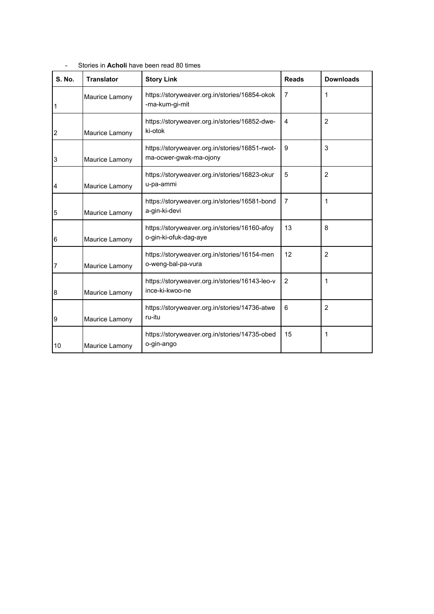| <b>S. No.</b>  | <b>Translator</b> | <b>Story Link</b>                                                        | <b>Reads</b>   | <b>Downloads</b> |
|----------------|-------------------|--------------------------------------------------------------------------|----------------|------------------|
| 1              | Maurice Lamony    | https://storyweaver.org.in/stories/16854-okok<br>-ma-kum-gi-mit          | 7              | 1                |
| $\overline{2}$ | Maurice Lamony    | https://storyweaver.org.in/stories/16852-dwe-<br>ki-otok                 | 4              | $\overline{2}$   |
| 3              | Maurice Lamony    | https://storyweaver.org.in/stories/16851-rwot-<br>ma-ocwer-gwak-ma-ojony | 9              | 3                |
| 4              | Maurice Lamony    | https://storyweaver.org.in/stories/16823-okur<br>u-pa-ammi               | 5              | $\overline{2}$   |
| 5              | Maurice Lamony    | https://storyweaver.org.in/stories/16581-bond<br>a-gin-ki-devi           | 7              | 1                |
| 6              | Maurice Lamony    | https://storyweaver.org.in/stories/16160-afoy<br>o-gin-ki-ofuk-dag-aye   | 13             | 8                |
| 7              | Maurice Lamony    | https://storyweaver.org.in/stories/16154-men<br>o-weng-bal-pa-vura       | 12             | $\overline{2}$   |
| 8              | Maurice Lamony    | https://storyweaver.org.in/stories/16143-leo-v<br>ince-ki-kwoo-ne        | $\overline{2}$ | 1                |
| 9              | Maurice Lamony    | https://storyweaver.org.in/stories/14736-atwe<br>ru-itu                  | 6              | 2                |
| 10             | Maurice Lamony    | https://storyweaver.org.in/stories/14735-obed<br>o-gin-ango              | 15             | 1                |

- Stories in **Acholi** have been read 80 times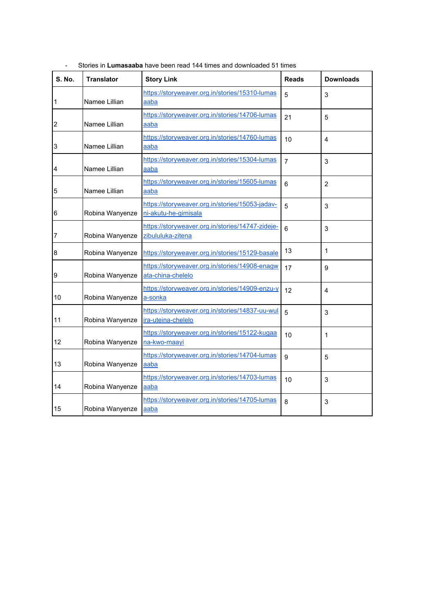| <b>S. No.</b>    | <b>Translator</b> | <b>Story Link</b>                                                       | <b>Reads</b>   | <b>Downloads</b> |
|------------------|-------------------|-------------------------------------------------------------------------|----------------|------------------|
| $\mathbf{1}$     | Namee Lillian     | https://storyweaver.org.in/stories/15310-lumas<br>aaba                  | 5              | 3                |
| $\overline{2}$   | Namee Lillian     | https://storyweaver.org.in/stories/14706-lumas<br>aaba                  | 21             | 5                |
| 3                | Namee Lillian     | https://storyweaver.org.in/stories/14760-lumas<br>aaba                  | 10             | 4                |
| 4                | Namee Lillian     | https://storyweaver.org.in/stories/15304-lumas<br>aaba                  | $\overline{7}$ | 3                |
| $\overline{5}$   | Namee Lillian     | https://storyweaver.org.in/stories/15605-lumas<br>aaba                  | 6              | $\overline{2}$   |
| $6\phantom{1}6$  | Robina Wanyenze   | https://storyweaver.org.in/stories/15053-jadav-<br>ni-akutu-he-gimisala | 5              | 3                |
| $\overline{7}$   | Robina Wanyenze   | https://storyweaver.org.in/stories/14747-zideje-<br>zibululuka-zitena   | 6              | 3                |
| $\bf 8$          | Robina Wanyenze   | https://storyweaver.org.in/stories/15129-basale                         | 13             | 1                |
| $\boldsymbol{9}$ | Robina Wanyenze   | https://storyweaver.org.in/stories/14908-enagw<br>ata-china-chelelo     | 17             | 9                |
| 10               | Robina Wanyenze   | https://storyweaver.org.in/stories/14909-enzu-y<br>a-sonka              | 12             | 4                |
| 11               | Robina Wanyenze   | https://storyweaver.org.in/stories/14837-uu-wul<br>ira-uteina-chelelo   | 5              | 3                |
| 12               | Robina Wanyenze   | https://storyweaver.org.in/stories/15122-kugaa<br>na-kwo-maayi          | 10             | 1                |
| 13               | Robina Wanyenze   | https://storyweaver.org.in/stories/14704-lumas<br>aaba                  | 9              | 5                |
| 14               | Robina Wanyenze   | https://storyweaver.org.in/stories/14703-lumas<br>aaba                  | 10             | 3                |
| 15               | Robina Wanyenze   | https://storyweaver.org.in/stories/14705-lumas<br>aaba                  | 8              | 3                |

- Stories in **Lumasaaba** have been read 144 times and downloaded 51 times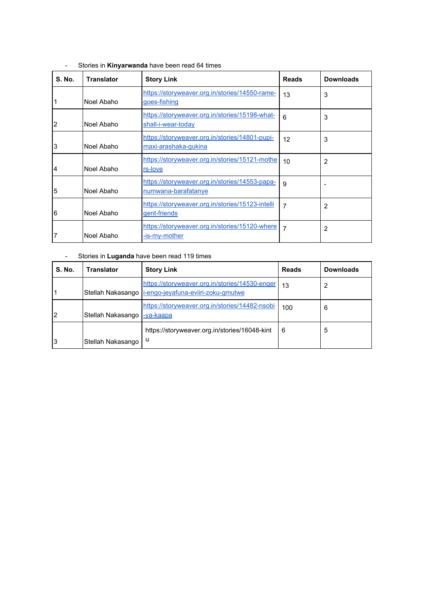| <b>S. No.</b>   | <b>Translator</b> | <b>Story Link</b>                                                      | <b>Reads</b> | <b>Downloads</b> |
|-----------------|-------------------|------------------------------------------------------------------------|--------------|------------------|
| 1               | Noel Abaho        | https://storyweaver.org.in/stories/14550-rame-<br>goes-fishing         | 13           | 3                |
| $\overline{2}$  | Noel Abaho        | https://storyweaver.org.in/stories/15198-what-<br>shall-i-wear-today   | 6            | 3                |
| 3               | Noel Abaho        | https://storyweaver.org.in/stories/14801-pupi-<br>maxi-arashaka-gukina | 12           | 3                |
| $\overline{4}$  | Noel Abaho        | https://storyweaver.org.in/stories/15121-mothe<br>rs-love              | 10           | 2                |
| $5\phantom{.0}$ | Noel Abaho        | https://storyweaver.org.in/stories/14553-papa-<br>numwana-barafatanye  | 9            |                  |
| 6               | Noel Abaho        | https://storyweaver.org.in/stories/15123-intelli<br>gent-friends       | 7            | 2                |
| 7               | Noel Abaho        | https://storyweaver.org.in/stories/15120-where<br>-is-my-mother        | 7            | 2                |

- Stories in **Kinyarwanda** have been read 64 times

### - Stories in **Luganda** have been read 119 times

| <b>S. No.</b> | <b>Translator</b>            | <b>Story Link</b>                                                                                        | <b>Reads</b> | <b>Downloads</b> |
|---------------|------------------------------|----------------------------------------------------------------------------------------------------------|--------------|------------------|
|               |                              | https://storyweaver.org.in/stories/14530-enger<br>Stellah Nakasango   i-engo-jeyafuna-eviiri-zoku-gmutwe | 13           | 2                |
| 2             | Stellah Nakasango  -ya-kaapa | https://storyweaver.org.in/stories/14482-nsobi                                                           | 100          | 6                |
| 3             | Stellah Nakasango            | https://storyweaver.org.in/stories/16048-kint<br>u                                                       | 6            | 5                |